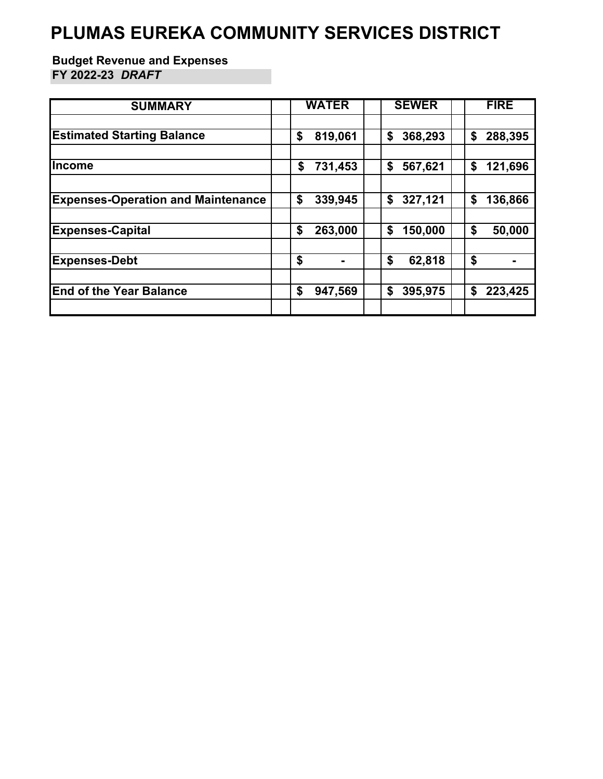#### **PLUMAS EUREKA COMMUNITY SERVICES DISTRICT**

#### **Budget Revenue and Expenses FY 2022-23** *DRAFT*

| <b>SUMMARY</b>                            | <b>WATER</b> | <b>SEWER</b> | <b>FIRE</b> |
|-------------------------------------------|--------------|--------------|-------------|
| <b>Estimated Starting Balance</b>         | \$           | 368,293      | 288,395     |
|                                           | 819,061      | \$           | \$          |
| <b>Income</b>                             | 731,453      | 567,621      | 121,696     |
|                                           | \$           | \$           | \$          |
| <b>Expenses-Operation and Maintenance</b> | \$           | 327,121      | \$          |
|                                           | 339,945      | \$           | 136,866     |
| <b>Expenses-Capital</b>                   | \$           | 150,000      | 50,000      |
|                                           | 263,000      | \$           | \$          |
| <b>Expenses-Debt</b>                      | \$           | \$<br>62,818 | \$          |
| <b>End of the Year Balance</b>            | \$           | \$           | \$          |
|                                           | 947,569      | 395,975      | 223,425     |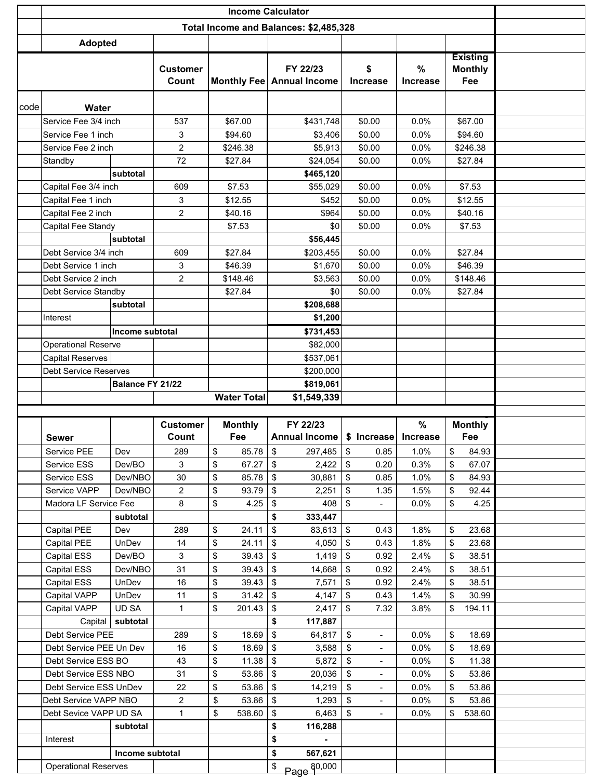|      | <b>Income Calculator</b>                                |                        |                 |    |                    |         |                                        |            |                          |                 |    |                 |  |
|------|---------------------------------------------------------|------------------------|-----------------|----|--------------------|---------|----------------------------------------|------------|--------------------------|-----------------|----|-----------------|--|
|      |                                                         |                        |                 |    |                    |         | Total Income and Balances: \$2,485,328 |            |                          |                 |    |                 |  |
|      | <b>Adopted</b>                                          |                        |                 |    |                    |         |                                        |            |                          |                 |    |                 |  |
|      |                                                         |                        |                 |    |                    |         |                                        |            |                          |                 |    | <b>Existing</b> |  |
|      |                                                         |                        | <b>Customer</b> |    |                    |         | FY 22/23                               |            | \$                       | %               |    | <b>Monthly</b>  |  |
|      |                                                         |                        | Count           |    |                    |         | Monthly Fee   Annual Income            |            | <b>Increase</b>          | <b>Increase</b> |    | Fee             |  |
| code |                                                         |                        |                 |    |                    |         |                                        |            |                          |                 |    |                 |  |
|      | <b>Water</b><br>Service Fee 3/4 inch                    |                        | 537             |    | \$67.00            |         | \$431,748                              |            | \$0.00                   | 0.0%            |    | \$67.00         |  |
|      | Service Fee 1 inch                                      |                        | 3               |    | \$94.60            |         | \$3,406                                |            | \$0.00                   | 0.0%            |    | \$94.60         |  |
|      | Service Fee 2 inch                                      |                        | $\overline{c}$  |    | \$246.38           |         | \$5,913                                |            | \$0.00                   | 0.0%            |    | \$246.38        |  |
|      | Standby                                                 |                        | 72              |    | \$27.84            |         | \$24,054                               |            | \$0.00                   | 0.0%            |    | \$27.84         |  |
|      |                                                         | subtotal               |                 |    |                    |         | \$465,120                              |            |                          |                 |    |                 |  |
|      | Capital Fee 3/4 inch                                    |                        | 609             |    | \$7.53             |         | \$55,029                               |            | \$0.00                   | 0.0%            |    | \$7.53          |  |
|      | Capital Fee 1 inch                                      |                        | 3               |    | \$12.55            |         | \$452                                  |            | \$0.00                   | 0.0%            |    | \$12.55         |  |
|      | Capital Fee 2 inch                                      |                        | $\overline{2}$  |    | \$40.16            |         | \$964                                  |            | \$0.00                   | 0.0%            |    | \$40.16         |  |
|      | Capital Fee Standy                                      |                        |                 |    | \$7.53             |         | \$0                                    |            | \$0.00                   | 0.0%            |    | \$7.53          |  |
|      |                                                         | subtotal               |                 |    |                    |         | \$56,445                               |            |                          |                 |    |                 |  |
|      | Debt Service 3/4 inch                                   |                        | 609             |    | \$27.84            |         | \$203,455                              |            | \$0.00                   | 0.0%            |    | \$27.84         |  |
|      | Debt Service 1 inch                                     |                        | 3               |    | \$46.39            |         | \$1,670                                |            | \$0.00                   | 0.0%            |    | \$46.39         |  |
|      | Debt Service 2 inch                                     |                        | 2               |    | \$148.46           |         | \$3,563                                |            | \$0.00                   | 0.0%            |    | \$148.46        |  |
|      | Debt Service Standby                                    |                        |                 |    | \$27.84            |         | \$0                                    |            | \$0.00                   | 0.0%            |    | \$27.84         |  |
|      |                                                         | subtotal               |                 |    |                    |         | \$208,688                              |            |                          |                 |    |                 |  |
|      | Interest                                                |                        |                 |    |                    |         | \$1,200                                |            |                          |                 |    |                 |  |
|      |                                                         | <b>Income subtotal</b> |                 |    |                    |         | \$731,453                              |            |                          |                 |    |                 |  |
|      | <b>Operational Reserve</b>                              |                        |                 |    |                    |         | \$82,000                               |            |                          |                 |    |                 |  |
|      | <b>Capital Reserves</b><br><b>Debt Service Reserves</b> |                        |                 |    |                    |         | \$537,061                              |            |                          |                 |    |                 |  |
|      |                                                         | Balance FY 21/22       |                 |    |                    |         | \$200,000<br>\$819,061                 |            |                          |                 |    |                 |  |
|      |                                                         |                        |                 |    | <b>Water Total</b> |         | \$1,549,339                            |            |                          |                 |    |                 |  |
|      |                                                         |                        |                 |    |                    |         |                                        |            |                          |                 |    |                 |  |
|      |                                                         |                        | <b>Customer</b> |    | <b>Monthly</b>     |         | FY 22/23                               |            |                          | %               |    | <b>Monthly</b>  |  |
|      | <b>Sewer</b>                                            |                        | Count           |    | Fee                |         | Annual Income   \$ Increase            |            |                          | <b>Increase</b> |    | Fee             |  |
|      | Service PEE                                             | Dev                    | 289             | \$ | 85.78 \$           |         | 297,485 \$                             |            | 0.85                     | 1.0%            | \$ | 84.93           |  |
|      | Service ESS                                             | Dev/BO                 | 3               | \$ | 67.27              | \$      | 2,422                                  | l \$       | 0.20                     | 0.3%            | \$ | 67.07           |  |
|      | Service ESS                                             | Dev/NBO                | $30\,$          | \$ | 85.78              | $\,$    | 30,881                                 | \$         | 0.85                     | 1.0%            | \$ | 84.93           |  |
|      | Service VAPP                                            | Dev/NBO                | $\overline{2}$  | \$ | 93.79              | \$      | 2,251                                  | \$         | 1.35                     | 1.5%            | \$ | 92.44           |  |
|      | Madora LF Service Fee                                   |                        | 8               | \$ | 4.25               | \$      | 408                                    | $\sqrt{3}$ | $\overline{\phantom{0}}$ | 0.0%            | \$ | 4.25            |  |
|      |                                                         | subtotal               |                 |    |                    | \$      | 333,447                                |            |                          |                 |    |                 |  |
|      | Capital PEE                                             | Dev                    | 289             | \$ | 24.11              | \$      | $83,613$ \$                            |            | 0.43                     | 1.8%            | \$ | 23.68           |  |
|      | Capital PEE                                             | UnDev                  | 14              | \$ | 24.11              | \$      | 4,050                                  | <b>\$</b>  | 0.43                     | 1.8%            | \$ | 23.68           |  |
|      | Capital ESS                                             | Dev/BO                 | 3               | \$ | 39.43              | \$      | 1,419                                  | l \$       | 0.92                     | 2.4%            | \$ | 38.51           |  |
|      | Capital ESS                                             | Dev/NBO                | 31              | \$ | 39.43              | \$      | 14,668                                 | l \$       | 0.92                     | 2.4%            | \$ | 38.51           |  |
|      | Capital ESS                                             | UnDev                  | 16              | \$ | 39.43              | \$      | 7,571                                  | \$         | 0.92                     | 2.4%            | \$ | 38.51           |  |
|      | Capital VAPP                                            | UnDev                  | 11              | \$ | 31.42              | \$      | 4,147                                  | $\sqrt{ }$ | 0.43                     | 1.4%            | \$ | 30.99           |  |
|      | Capital VAPP                                            | UD SA                  | $\mathbf{1}$    | \$ | 201.43             | \$      | 2,417                                  | <b>\$</b>  | 7.32                     | 3.8%            | \$ | 194.11          |  |
|      | Capital                                                 | subtotal               |                 |    |                    | \$      | 117,887                                |            |                          |                 |    |                 |  |
|      | Debt Service PEE                                        |                        | 289             | \$ | 18.69              | \$      | 64,817                                 | \$         | $\overline{\phantom{0}}$ | $0.0\%$         | \$ | 18.69           |  |
|      | Debt Service PEE Un Dev                                 |                        | 16              | \$ | 18.69              | \$      | 3,588                                  | \$         | $\overline{\phantom{0}}$ | 0.0%            | \$ | 18.69           |  |
|      | Debt Service ESS BO<br>43                               |                        |                 | \$ | 11.38              | \$      | 5,872                                  | \$         | ۰                        | 0.0%            | \$ | 11.38           |  |
|      | Debt Service ESS NBO<br>31                              |                        |                 | \$ | 53.86              | \$      | 20,036                                 | \$         | $\blacksquare$           | 0.0%            | \$ | 53.86           |  |
|      | Debt Service ESS UnDev<br>22                            |                        |                 | \$ | 53.86              | \$      | 14,219                                 | \$         | $\blacksquare$           | 0.0%            | \$ | 53.86           |  |
|      | Debt Service VAPP NBO                                   |                        | $\overline{c}$  | \$ | 53.86              | \$      | 1,293                                  | \$         | $\overline{\phantom{0}}$ | 0.0%            | \$ | 53.86           |  |
|      | Debt Sevice VAPP UD SA                                  |                        | $\mathbf{1}$    | \$ | 538.60             | \$      | 6,463                                  | \$         | $\blacksquare$           | 0.0%            | \$ | 538.60          |  |
|      | subtotal                                                |                        |                 |    |                    | \$      | 116,288                                |            |                          |                 |    |                 |  |
|      | Interest                                                |                        |                 |    |                    | \$      |                                        |            |                          |                 |    |                 |  |
|      |                                                         | Income subtotal        |                 |    | \$                 | 567,621 |                                        |            |                          |                 |    |                 |  |
|      | <b>Operational Reserves</b>                             |                        |                 |    |                    | \$      | Page 80,000                            |            |                          |                 |    |                 |  |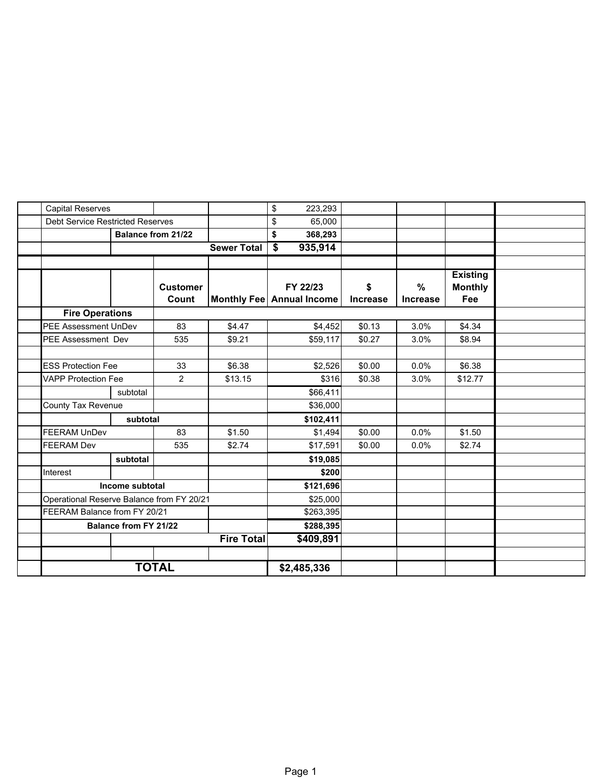| <b>Capital Reserves</b>                   |                              |                    |                    |                                 |                 |                 |                                   |  |
|-------------------------------------------|------------------------------|--------------------|--------------------|---------------------------------|-----------------|-----------------|-----------------------------------|--|
|                                           |                              |                    |                    | \$<br>223,293                   |                 |                 |                                   |  |
| <b>Debt Service Restricted Reserves</b>   |                              |                    |                    | \$<br>65,000                    |                 |                 |                                   |  |
|                                           |                              | Balance from 21/22 |                    | \$<br>368,293                   |                 |                 |                                   |  |
|                                           |                              |                    | <b>Sewer Total</b> | 935,914<br>$\overline{\bullet}$ |                 |                 |                                   |  |
|                                           |                              |                    |                    |                                 |                 |                 |                                   |  |
|                                           |                              | <b>Customer</b>    |                    | FY 22/23                        | \$              | %               | <b>Existing</b><br><b>Monthly</b> |  |
|                                           |                              | Count              |                    | Monthly Fee   Annual Income     | <b>Increase</b> | <b>Increase</b> | Fee                               |  |
| <b>Fire Operations</b>                    |                              |                    |                    |                                 |                 |                 |                                   |  |
| <b>PEE Assessment UnDev</b>               |                              | 83                 | \$4.47             | \$4,452                         | \$0.13          | 3.0%            | \$4.34                            |  |
| <b>PEE Assessment Dev</b>                 |                              | 535                | \$9.21             | \$59,117                        | \$0.27          | 3.0%            | \$8.94                            |  |
|                                           |                              |                    |                    |                                 |                 |                 |                                   |  |
| <b>ESS Protection Fee</b>                 |                              | 33                 | \$6.38             | \$2,526                         | \$0.00          | 0.0%            | \$6.38                            |  |
| <b>VAPP Protection Fee</b>                |                              | $\overline{2}$     | \$13.15            | \$316                           | \$0.38          | 3.0%            | \$12.77                           |  |
|                                           | subtotal                     |                    |                    | \$66,411                        |                 |                 |                                   |  |
| County Tax Revenue                        |                              |                    |                    | \$36,000                        |                 |                 |                                   |  |
|                                           | subtotal                     |                    |                    | \$102,411                       |                 |                 |                                   |  |
| <b>FEERAM UnDev</b>                       |                              | 83                 | \$1.50             | \$1,494                         | \$0.00          | 0.0%            | \$1.50                            |  |
| <b>FEERAM Dev</b>                         |                              | 535                | \$2.74             | \$17,591                        | \$0.00          | 0.0%            | \$2.74                            |  |
|                                           | subtotal                     |                    |                    | \$19,085                        |                 |                 |                                   |  |
| Interest                                  |                              |                    |                    | \$200                           |                 |                 |                                   |  |
|                                           | Income subtotal              |                    |                    | \$121,696                       |                 |                 |                                   |  |
| Operational Reserve Balance from FY 20/21 |                              |                    |                    | \$25,000                        |                 |                 |                                   |  |
| FEERAM Balance from FY 20/21              |                              |                    |                    | \$263,395                       |                 |                 |                                   |  |
|                                           | <b>Balance from FY 21/22</b> |                    |                    | \$288,395                       |                 |                 |                                   |  |
|                                           |                              |                    | <b>Fire Total</b>  | \$409,891                       |                 |                 |                                   |  |
|                                           |                              |                    |                    |                                 |                 |                 |                                   |  |
|                                           |                              |                    |                    |                                 |                 |                 |                                   |  |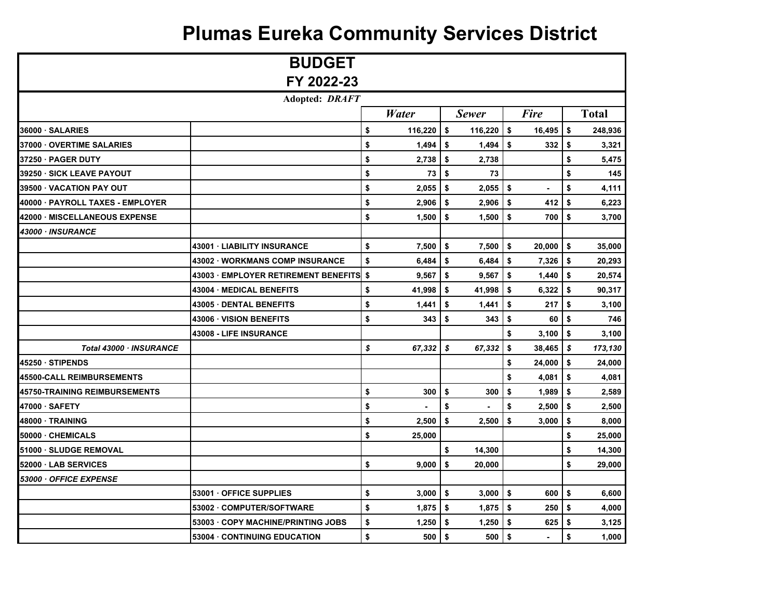### **Plumas Eureka Community Services District**

|                                  | <b>BUDGET</b>                      |               |                  |              |     |             |           |              |
|----------------------------------|------------------------------------|---------------|------------------|--------------|-----|-------------|-----------|--------------|
|                                  | FY 2022-23                         |               |                  |              |     |             |           |              |
|                                  | <b>Adopted: DRAFT</b>              |               |                  |              |     |             |           |              |
|                                  |                                    | <b>Water</b>  |                  | <b>Sewer</b> |     | <b>Fire</b> |           | <b>Total</b> |
| 36000 · SALARIES                 |                                    | \$<br>116,220 | \$               | 116,220      | \$  | 16,495      | \$        | 248,936      |
| 37000 OVERTIME SALARIES          |                                    | \$<br>1,494   | \$               | 1,494        | \$  | 332         | \$        | 3,321        |
| 37250 · PAGER DUTY               |                                    | \$<br>2,738   | \$               | 2,738        |     |             | \$        | 5,475        |
| 39250 · SICK LEAVE PAYOUT        |                                    | \$<br>73      | \$               | 73           |     |             | \$        | 145          |
| 39500 VACATION PAY OUT           |                                    | \$<br>2,055   | \$               | 2,055        | -\$ |             | \$        | 4,111        |
| 40000 · PAYROLL TAXES - EMPLOYER |                                    | \$<br>2,906   | \$               | 2,906        | \$  | 412         | \$        | 6,223        |
| 42000 MISCELLANEOUS EXPENSE      |                                    | \$<br>1,500   | \$               | 1,500        | \$  | 700         | \$        | 3,700        |
| 43000 · INSURANCE                |                                    |               |                  |              |     |             |           |              |
|                                  | <b>43001 LIABILITY INSURANCE</b>   | \$<br>7,500   | \$               | 7,500        | \$  | 20,000      | \$        | 35,000       |
|                                  | 43002 WORKMANS COMP INSURANCE      | \$<br>6,484   | \$               | 6,484        | \$  | 7,326       | \$        | 20,293       |
|                                  | 43003 EMPLOYER RETIREMENT BENEFITS | \$<br>9,567   | \$               | 9,567        | \$  | 1,440       | \$        | 20,574       |
|                                  | 43004 MEDICAL BENEFITS             | \$<br>41,998  | \$               | 41,998       | \$  | 6,322       | \$        | 90,317       |
|                                  | <b>43005 DENTAL BENEFITS</b>       | \$<br>1,441   | \$               | 1,441        | \$  | 217         | \$        | 3,100        |
|                                  | 43006 VISION BENEFITS              | \$<br>343     | \$               | 343          | \$  | 60          | \$        | 746          |
|                                  | 43008 - LIFE INSURANCE             |               |                  |              | \$  | 3,100       | \$        | 3,100        |
| Total 43000 · INSURANCE          |                                    | \$<br>67,332  | $\boldsymbol{s}$ | 67,332       | \$  | 38,465      | $\vert s$ | 173,130      |
| 45250 STIPENDS                   |                                    |               |                  |              | \$  | 24,000      | \$        | 24,000       |
| 45500-CALL REIMBURSEMENTS        |                                    |               |                  |              | \$  | 4,081       | \$        | 4,081        |
| 45750-TRAINING REIMBURSEMENTS    |                                    | \$<br>300     | \$               | 300          | \$  | 1,989       | \$        | 2,589        |
| 47000 · SAFETY                   |                                    | \$            | \$               |              | \$  | 2,500       | \$        | 2,500        |
| 48000 · TRAINING                 |                                    | \$<br>2,500   | \$               | 2,500        | \$  | 3,000       | \$        | 8,000        |
| 50000 - CHEMICALS                |                                    | \$<br>25,000  |                  |              |     |             | \$        | 25,000       |
| 51000 · SLUDGE REMOVAL           |                                    |               | \$               | 14,300       |     |             | \$        | 14,300       |
| 52000 · LAB SERVICES             |                                    | \$<br>9,000   | \$               | 20,000       |     |             | \$        | 29,000       |
| 53000 · OFFICE EXPENSE           |                                    |               |                  |              |     |             |           |              |
|                                  | 53001 OFFICE SUPPLIES              | \$<br>3,000   | \$               | 3,000        | \$  | 600         | \$        | 6,600        |
|                                  | 53002 COMPUTER/SOFTWARE            | \$<br>1,875   | \$               | 1,875        | -\$ | 250         | \$        | 4,000        |
|                                  | 53003 COPY MACHINE/PRINTING JOBS   | \$<br>1,250   | \$               | 1,250        | \$  | 625         | \$        | 3,125        |
|                                  | 53004 CONTINUING EDUCATION         | \$<br>500     | \$               | 500          | \$  |             | \$        | 1,000        |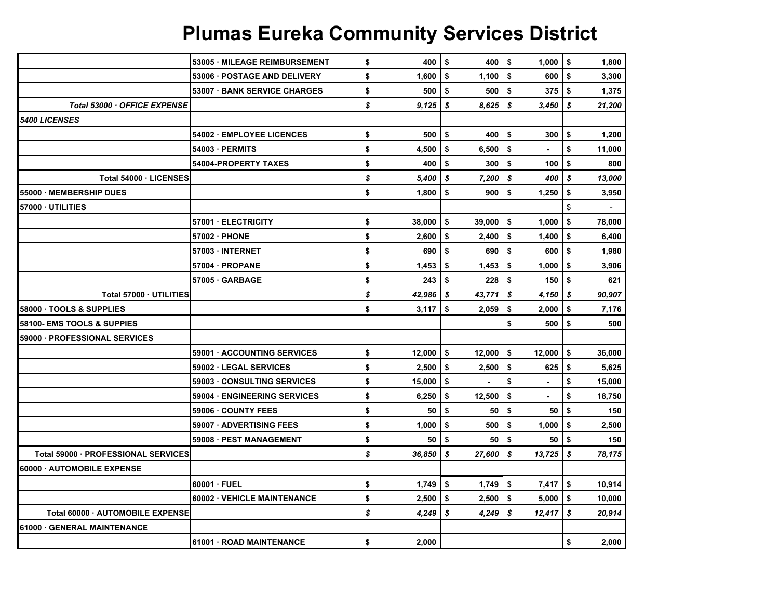|                                     | <b>53005 MILEAGE REIMBURSEMENT</b> | \$               | 400    | \$       | 400              | \$  | 1,000          | l \$ | 1,800  |
|-------------------------------------|------------------------------------|------------------|--------|----------|------------------|-----|----------------|------|--------|
|                                     | <b>53006 POSTAGE AND DELIVERY</b>  | \$               | 1,600  | \$       | 1,100            | \$  | 600            | -\$  | 3,300  |
|                                     | 53007 BANK SERVICE CHARGES         | \$               | 500    | \$       | 500              | \$  | 375            | \$   | 1,375  |
| Total 53000 · OFFICE EXPENSE        |                                    | \$               | 9,125  | - \$     | 8,625            | \$  | 3,450          | \$   | 21,200 |
| <b>5400 LICENSES</b>                |                                    |                  |        |          |                  |     |                |      |        |
|                                     | 54002 EMPLOYEE LICENCES            | \$               | 500    | \$       | 400              | \$  | 300            | \$   | 1,200  |
|                                     | 54003 - PERMITS                    | \$               | 4,500  | \$       | 6,500            | \$  |                | \$   | 11,000 |
|                                     | <b>54004-PROPERTY TAXES</b>        | \$               | 400    | \$       | 300 <sub>1</sub> | \$  | 100            | \$   | 800    |
| Total 54000 LICENSES                |                                    | $\boldsymbol{s}$ | 5,400  | -\$      | 7,200            | s.  | 400            | \$   | 13,000 |
| 55000 · MEMBERSHIP DUES             |                                    | \$               | 1,800  | \$       | 900              | \$  | 1,250          | \$   | 3,950  |
| 57000 UTILITIES                     |                                    |                  |        |          |                  |     |                | \$   |        |
|                                     | 57001 ELECTRICITY                  | \$               | 38,000 | -\$      | 39,000           | \$  | 1,000          | \$   | 78,000 |
|                                     | 57002 PHONE                        | \$               | 2,600  | \$       | 2,400            | \$  | 1,400          | \$   | 6,400  |
|                                     | 57003 INTERNET                     | \$               | 690    | <b>S</b> | 690              | \$  | 600            | -\$  | 1,980  |
|                                     | 57004 PROPANE                      | \$               | 1,453  | \$       | 1,453            | \$  | 1,000          | \$   | 3,906  |
|                                     | 57005 GARBAGE                      | \$               | 243    | \$       | 228              | \$  | 150            | -\$  | 621    |
| Total 57000 UTILITIES               |                                    | $\boldsymbol{s}$ | 42,986 | 5        | 43,771           | l s | 4,150          | \$   | 90,907 |
| 58000 · TOOLS & SUPPLIES            |                                    | \$               | 3,117  | \$       | 2,059            | \$  | 2,000          | \$   | 7,176  |
| 58100- EMS TOOLS & SUPPIES          |                                    |                  |        |          |                  | \$  | 500            | \$   | 500    |
| 59000 · PROFESSIONAL SERVICES       |                                    |                  |        |          |                  |     |                |      |        |
|                                     | 59001 ACCOUNTING SERVICES          | \$               | 12,000 | \$       | 12,000           | \$  | 12,000         | Ŝ.   | 36,000 |
|                                     | 59002 LEGAL SERVICES               | \$               | 2,500  | \$       | 2,500            | \$  | 625            | \$   | 5,625  |
|                                     | 59003 CONSULTING SERVICES          | \$               | 15,000 | \$       | $\bullet$        | \$  | $\blacksquare$ | \$   | 15,000 |
|                                     | 59004 ENGINEERING SERVICES         | \$               | 6,250  | \$       | 12,500           | \$  |                | \$   | 18,750 |
|                                     | 59006 COUNTY FEES                  | \$               | 50     | \$       | 50               | \$  | 50             | \$   | 150    |
|                                     | 59007 · ADVERTISING FEES           | \$               | 1,000  | \$       | 500              | \$  | 1,000          | Ŝ.   | 2,500  |
|                                     | 59008 · PEST MANAGEMENT            | \$               | 50     | -\$      | 50               | \$  | 50             | l \$ | 150    |
| Total 59000 · PROFESSIONAL SERVICES |                                    | $\boldsymbol{s}$ | 36,850 | S        | 27,600           | \$  | 13,725         | \$   | 78,175 |
| 60000 AUTOMOBILE EXPENSE            |                                    |                  |        |          |                  |     |                |      |        |
|                                     | 60001 FUEL                         | \$               | 1,749  | \$       | $1,749$ \$       |     | 7,417          | \$   | 10,914 |
|                                     | 60002 VEHICLE MAINTENANCE          | \$               | 2,500  | \$       | 2,500            | \$  | 5,000          | -\$  | 10,000 |
| Total 60000 AUTOMOBILE EXPENSE      |                                    | \$               | 4,249  | \$       | 4,249            | \$  | 12,417         | \$   | 20,914 |
| 61000 · GENERAL MAINTENANCE         |                                    |                  |        |          |                  |     |                |      |        |
|                                     | 61001 ROAD MAINTENANCE             | \$               | 2.000  |          |                  |     |                | \$   | 2,000  |

# **Plumas Eureka Community Services District**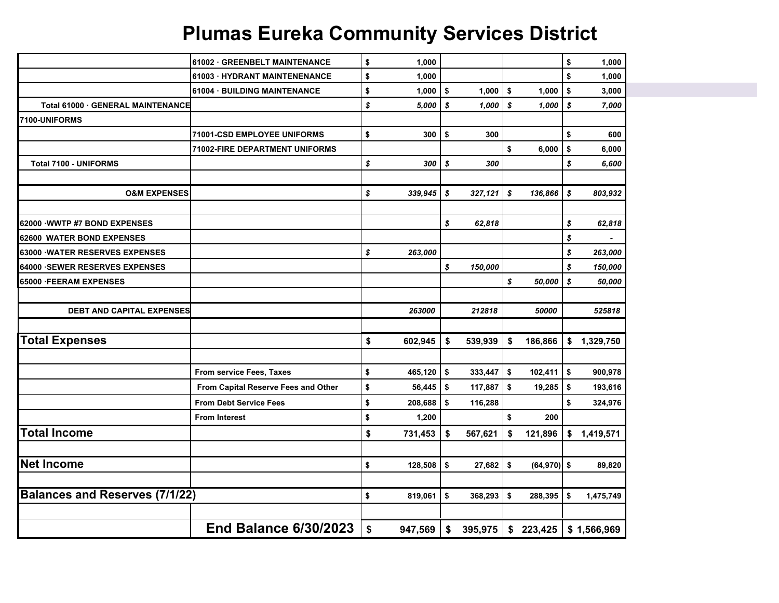## **Plumas Eureka Community Services District**

|                                       | 61002 GREENBELT MAINTENANCE         | \$                | 1,000       |                |         |                      | \$           | 1,000       |
|---------------------------------------|-------------------------------------|-------------------|-------------|----------------|---------|----------------------|--------------|-------------|
|                                       | 61003 HYDRANT MAINTENENANCE         | \$                | 1,000       |                |         |                      | \$           | 1,000       |
|                                       | 61004 · BUILDING MAINTENANCE        | \$                | 1,000       | $\vert$ \$     | 1,000   | \$<br>1,000          | \$           | 3,000       |
| Total 61000 GENERAL MAINTENANCE       |                                     | \$                | 5,000       | \$             | 1,000   | \$<br>1,000          | \$           | 7,000       |
| 7100-UNIFORMS                         |                                     |                   |             |                |         |                      |              |             |
|                                       | 71001-CSD EMPLOYEE UNIFORMS         | \$                | 300         | \$             | 300     |                      | \$           | 600         |
|                                       | 71002-FIRE DEPARTMENT UNIFORMS      |                   |             |                |         | \$<br>6,000          | \$           | 6,000       |
| <b>Total 7100 - UNIFORMS</b>          |                                     | \$                | 300         | \$             | 300     |                      | \$           | 6,600       |
|                                       |                                     |                   |             |                |         |                      |              |             |
| <b>O&amp;M EXPENSES</b>               |                                     | \$                | 339,945     | $\mathsf{I}$ s | 327,121 | \$<br>136,866        | \$           | 803,932     |
| 62000 WWTP #7 BOND EXPENSES           |                                     |                   |             | \$             | 62,818  |                      | \$           | 62,818      |
| 62600 WATER BOND EXPENSES             |                                     |                   |             |                |         |                      | \$           | ۰           |
| <b>63000 WATER RESERVES EXPENSES</b>  |                                     | \$                | 263,000     |                |         |                      | \$           | 263,000     |
| <b>64000 SEWER RESERVES EXPENSES</b>  |                                     |                   |             | \$             | 150,000 |                      | \$           | 150,000     |
| 65000 FEERAM EXPENSES                 |                                     |                   |             |                |         | \$<br>50,000         | \$           | 50,000      |
|                                       |                                     |                   |             |                |         |                      |              |             |
| <b>DEBT AND CAPITAL EXPENSES</b>      |                                     |                   | 263000      |                | 212818  | 50000                |              | 525818      |
|                                       |                                     |                   |             |                |         |                      |              |             |
| <b>Total Expenses</b>                 |                                     | \$                | 602,945     | \$             | 539,939 | \$<br>186,866        | \$           | 1,329,750   |
|                                       |                                     |                   |             |                |         |                      |              |             |
|                                       | From service Fees, Taxes            | \$                | 465,120     | \$             | 333,447 | \$<br>102,411        | \$           | 900,978     |
|                                       | From Capital Reserve Fees and Other | \$                | $56,445$ \$ |                | 117,887 | \$<br>19,285         | \$           | 193,616     |
|                                       | <b>From Debt Service Fees</b>       | \$                | 208,688     | \$             | 116,288 |                      | \$           | 324,976     |
|                                       | <b>From Interest</b>                | \$                | 1,200       |                |         | \$<br>200            |              |             |
| <b>Total Income</b>                   |                                     | \$                | 731,453     | \$             | 567,621 | \$<br>121,896        | \$           | 1,419,571   |
|                                       |                                     |                   |             |                |         |                      |              |             |
| <b>Net Income</b>                     |                                     | \$                | 128,508     | $\sqrt{3}$     | 27,682  | \$<br>$(64, 970)$ \$ |              | 89,820      |
|                                       |                                     |                   |             |                |         |                      |              |             |
| <b>Balances and Reserves (7/1/22)</b> |                                     | \$                | 819,061     | \$             | 368,293 | \$<br>288,395        | $\mathbf{s}$ | 1,475,749   |
|                                       |                                     |                   |             |                |         |                      |              |             |
|                                       | <b>End Balance 6/30/2023</b>        | $\boldsymbol{\$}$ | 947,569     | \$             | 395,975 | \$223,425            |              | \$1,566,969 |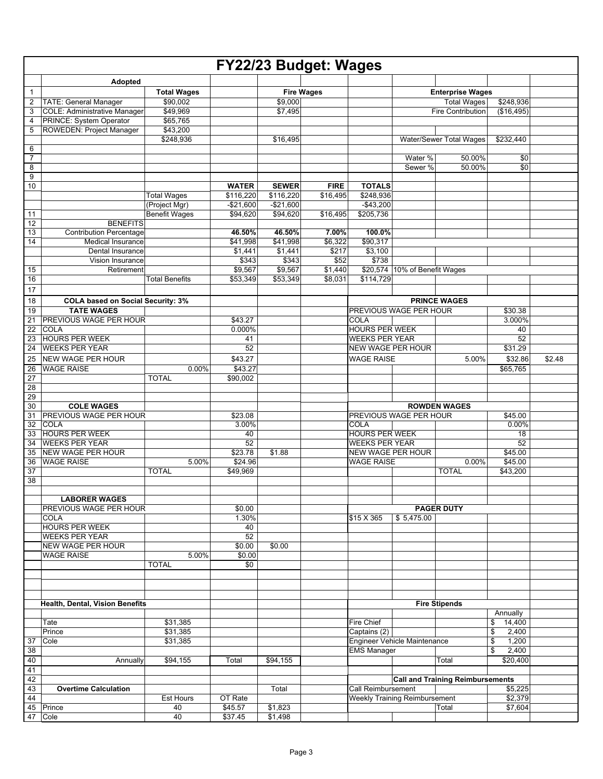|                 |                                                                   |                       |                     |              | FY22/23 Budget: Wages |                          |                               |                                         |                     |        |
|-----------------|-------------------------------------------------------------------|-----------------------|---------------------|--------------|-----------------------|--------------------------|-------------------------------|-----------------------------------------|---------------------|--------|
|                 | Adopted                                                           |                       |                     |              |                       |                          |                               |                                         |                     |        |
| $\mathbf{1}$    |                                                                   | <b>Total Wages</b>    |                     |              | <b>Fire Wages</b>     |                          |                               | <b>Enterprise Wages</b>                 |                     |        |
| 2               | TATE: General Manager                                             | \$90,002              |                     | \$9,000      |                       |                          |                               | <b>Total Wages</b>                      | \$248,936           |        |
| 3               | <b>COLE: Administrative Manager</b>                               | \$49,969              |                     | \$7.495      |                       |                          |                               | <b>Fire Contribution</b>                | (\$16,495)          |        |
| 4<br>5          | <b>PRINCE: System Operator</b><br><b>ROWEDEN: Project Manager</b> | \$65,765              |                     |              |                       |                          |                               |                                         |                     |        |
|                 |                                                                   | \$43,200<br>\$248,936 |                     | \$16,495     |                       |                          |                               | Water/Sewer Total Wages                 | \$232,440           |        |
| 6               |                                                                   |                       |                     |              |                       |                          |                               |                                         |                     |        |
| $\overline{7}$  |                                                                   |                       |                     |              |                       |                          | Water %                       | 50.00%                                  | \$0                 |        |
| 8               |                                                                   |                       |                     |              |                       |                          | Sewer %                       | 50.00%                                  | $\overline{50}$     |        |
| 9               |                                                                   |                       |                     |              |                       |                          |                               |                                         |                     |        |
| 10              |                                                                   |                       | <b>WATER</b>        | <b>SEWER</b> | <b>FIRE</b>           | <b>TOTALS</b>            |                               |                                         |                     |        |
|                 |                                                                   | <b>Total Wages</b>    | \$116,220           | \$116,220    | \$16,495              | \$248,936                |                               |                                         |                     |        |
|                 |                                                                   | (Project Mgr)         | $-$21,600$          | $-$21,600$   |                       | $-$43,200$               |                               |                                         |                     |        |
| 11<br>12        | <b>BENEFITS</b>                                                   | <b>Benefit Wages</b>  | \$94,620            | \$94,620     | \$16,495              | \$205,736                |                               |                                         |                     |        |
| 13              | <b>Contribution Percentage</b>                                    |                       | 46.50%              | 46.50%       | 7.00%                 | 100.0%                   |                               |                                         |                     |        |
| 14              | <b>Medical Insurance</b>                                          |                       | \$41,998            | \$41,998     | \$6,322               | \$90,317                 |                               |                                         |                     |        |
|                 | Dental Insurance                                                  |                       | \$1,441             | \$1,441      | \$217                 | \$3,100                  |                               |                                         |                     |        |
|                 | Vision Insurance                                                  |                       | \$343               | \$343        | \$52                  | \$738                    |                               |                                         |                     |        |
| 15              | Retirement                                                        |                       | \$9,567             | \$9,567      | \$1,440               |                          | \$20,574 10% of Benefit Wages |                                         |                     |        |
| 16              |                                                                   | <b>Total Benefits</b> | \$53.349            | \$53,349     | \$8,031               | \$114,729                |                               |                                         |                     |        |
| 17              |                                                                   |                       |                     |              |                       |                          |                               |                                         |                     |        |
| 18              | <b>COLA based on Social Security: 3%</b>                          |                       |                     |              |                       |                          |                               | <b>PRINCE WAGES</b>                     |                     |        |
| 19              | <b>TATE WAGES</b>                                                 |                       |                     |              |                       |                          | PREVIOUS WAGE PER HOUR        |                                         | \$30.38             |        |
| $\overline{21}$ | PREVIOUS WAGE PER HOUR                                            |                       | \$43.27             |              |                       | COLA                     |                               |                                         | 3.000%              |        |
| 22              | <b>COLA</b>                                                       |                       | 0.000%              |              |                       | <b>HOURS PER WEEK</b>    |                               |                                         | 40                  |        |
| 23              | <b>HOURS PER WEEK</b>                                             |                       | 41                  |              |                       | <b>WEEKS PER YEAR</b>    |                               |                                         | 52                  |        |
| 24              | <b>WEEKS PER YEAR</b>                                             |                       | 52                  |              |                       | <b>NEW WAGE PER HOUR</b> |                               |                                         | \$31.29             |        |
| 25              | <b>NEW WAGE PER HOUR</b>                                          |                       | \$43.27             |              |                       | <b>WAGE RAISE</b>        |                               | 5.00%                                   | \$32.86             | \$2.48 |
| 26<br>27        | <b>WAGE RAISE</b>                                                 | 0.00%<br><b>TOTAL</b> | \$43.27<br>\$90,002 |              |                       |                          |                               |                                         | \$65,765            |        |
| $\overline{28}$ |                                                                   |                       |                     |              |                       |                          |                               |                                         |                     |        |
| 29              |                                                                   |                       |                     |              |                       |                          |                               |                                         |                     |        |
| 30              | <b>COLE WAGES</b>                                                 |                       |                     |              |                       |                          |                               | <b>ROWDEN WAGES</b>                     |                     |        |
| 31              | <b>PREVIOUS WAGE PER HOUR</b>                                     |                       | \$23.08             |              |                       |                          | PREVIOUS WAGE PER HOUR        |                                         | \$45.00             |        |
| 32              | <b>COLA</b>                                                       |                       | 3.00%               |              |                       | COLA                     |                               |                                         | 0.00%               |        |
| 33              | <b>HOURS PER WEEK</b>                                             |                       | 40                  |              |                       | <b>HOURS PER WEEK</b>    |                               |                                         | 18                  |        |
| 34              | <b>WEEKS PER YEAR</b>                                             |                       | 52                  |              |                       | <b>WEEKS PER YEAR</b>    |                               |                                         | 52                  |        |
| 35              | <b>NEW WAGE PER HOUR</b>                                          |                       | \$23.78             | \$1.88       |                       | <b>NEW WAGE PER HOUR</b> |                               |                                         | \$45.00             |        |
| 36<br>37        | <b>WAGE RAISE</b>                                                 | 5.00%<br><b>TOTAL</b> | \$24.96<br>\$49,969 |              |                       | <b>WAGE RAISE</b>        |                               | 0.00%<br><b>TOTAL</b>                   | \$45.00<br>\$43,200 |        |
| 38              |                                                                   |                       |                     |              |                       |                          |                               |                                         |                     |        |
|                 |                                                                   |                       |                     |              |                       |                          |                               |                                         |                     |        |
|                 | <b>LABORER WAGES</b>                                              |                       |                     |              |                       |                          |                               |                                         |                     |        |
|                 | PREVIOUS WAGE PER HOUR                                            |                       | \$0.00              |              |                       |                          |                               | <b>PAGER DUTY</b>                       |                     |        |
|                 | COLA                                                              |                       | 1.30%               |              |                       | \$15 X 365               | \$5,475.00                    |                                         |                     |        |
|                 | <b>HOURS PER WEEK</b>                                             |                       | 40                  |              |                       |                          |                               |                                         |                     |        |
|                 | <b>WEEKS PER YEAR</b>                                             |                       | 52                  |              |                       |                          |                               |                                         |                     |        |
|                 | <b>NEW WAGE PER HOUR</b>                                          |                       | \$0.00              | \$0.00       |                       |                          |                               |                                         |                     |        |
|                 | <b>WAGE RAISE</b>                                                 | 5.00%<br><b>TOTAL</b> | \$0.00<br>\$0       |              |                       |                          |                               |                                         |                     |        |
|                 |                                                                   |                       |                     |              |                       |                          |                               |                                         |                     |        |
|                 |                                                                   |                       |                     |              |                       |                          |                               |                                         |                     |        |
|                 |                                                                   |                       |                     |              |                       |                          |                               |                                         |                     |        |
|                 | Health, Dental, Vision Benefits                                   |                       |                     |              |                       |                          |                               | <b>Fire Stipends</b>                    |                     |        |
|                 |                                                                   |                       |                     |              |                       |                          |                               |                                         | Annually            |        |
|                 | Tate                                                              | \$31,385              |                     |              |                       | Fire Chief               |                               |                                         | \$<br>14,400        |        |
|                 | Prince                                                            | \$31,385              |                     |              |                       | Captains (2)             |                               |                                         | \$<br>2,400         |        |
| 37              | Cole                                                              | \$31,385              |                     |              |                       |                          | Engineer Vehicle Maintenance  |                                         | \$<br>1,200         |        |
| 38              |                                                                   |                       |                     |              |                       | <b>EMS Manager</b>       |                               |                                         | \$<br>2,400         |        |
| 40              | Annually                                                          | \$94,155              | Total               | \$94,155     |                       |                          |                               | Total                                   | \$20,400            |        |
| 41              |                                                                   |                       |                     |              |                       |                          |                               |                                         |                     |        |
| 42              |                                                                   |                       |                     |              |                       |                          |                               | <b>Call and Training Reimbursements</b> |                     |        |
| 43<br>44        | <b>Overtime Calculation</b>                                       | Est Hours             | OT Rate             | Total        |                       | Call Reimbursement       | Weekly Training Reimbursement |                                         | \$5,225<br>\$2,379  |        |
|                 | 45 Prince                                                         | 40                    | \$45.57             | \$1,823      |                       |                          |                               | Total                                   | \$7,604             |        |
| 47              | Cole                                                              | 40                    | \$37.45             | \$1,498      |                       |                          |                               |                                         |                     |        |
|                 |                                                                   |                       |                     |              |                       |                          |                               |                                         |                     |        |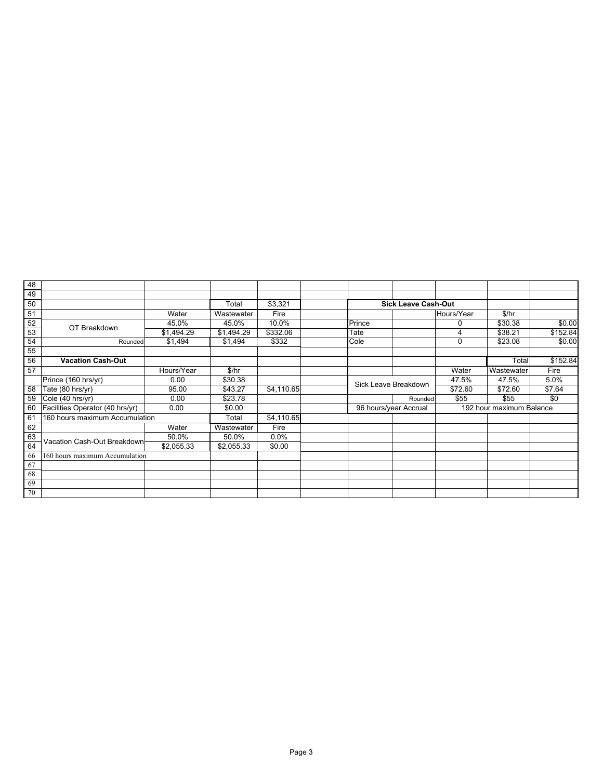| 48 |                                 |            |            |            |        |                            |            |                          |          |
|----|---------------------------------|------------|------------|------------|--------|----------------------------|------------|--------------------------|----------|
| 49 |                                 |            |            |            |        |                            |            |                          |          |
| 50 |                                 |            | Total      | \$3,321    |        | <b>Sick Leave Cash-Out</b> |            |                          |          |
| 51 |                                 | Water      | Wastewater | Fire       |        |                            | Hours/Year | \$/hr                    |          |
| 52 | OT Breakdown                    | 45.0%      | 45.0%      | 10.0%      | Prince |                            | 0          | \$30.38                  | \$0.00   |
| 53 |                                 | \$1,494.29 | \$1,494.29 | \$332.06   | Tate   |                            |            | \$38.21                  | \$152.84 |
| 54 | Rounded                         | \$1,494    | \$1,494    | \$332      | Cole   |                            | 0          | \$23.08                  | \$0.00   |
| 55 |                                 |            |            |            |        |                            |            |                          |          |
| 56 | <b>Vacation Cash-Out</b>        |            |            |            |        |                            |            | Total                    | \$152.84 |
| 57 |                                 | Hours/Year | \$/hr      |            |        |                            | Water      | Wastewater               | Fire     |
|    | Prince (160 hrs/yr)             | 0.00       | \$30.38    |            |        | Sick Leave Breakdown       | 47.5%      | 47.5%                    | 5.0%     |
| 58 | Tate (80 hrs/yr)                | 95.00      | \$43.27    | \$4,110.65 |        |                            | \$72.60    | \$72.60                  | \$7.64   |
| 59 | Cole (40 hrs/yr)                | 0.00       | \$23.78    |            |        | Rounded                    | \$55       | \$55                     | \$0      |
| 60 | Facilities Operator (40 hrs/yr) | 0.00       | \$0.00     |            |        | 96 hours/year Accrual      |            | 192 hour maximum Balance |          |
| 61 | 160 hours maximum Accumulation  |            | Total      | \$4,110.65 |        |                            |            |                          |          |
| 62 |                                 | Water      | Wastewater | Fire       |        |                            |            |                          |          |
| 63 | Vacation Cash-Out Breakdown     | 50.0%      | 50.0%      | 0.0%       |        |                            |            |                          |          |
| 64 |                                 | \$2,055.33 | \$2,055.33 | \$0.00     |        |                            |            |                          |          |
| 66 | 160 hours maximum Accumulation  |            |            |            |        |                            |            |                          |          |
| 67 |                                 |            |            |            |        |                            |            |                          |          |
| 68 |                                 |            |            |            |        |                            |            |                          |          |
| 69 |                                 |            |            |            |        |                            |            |                          |          |
| 70 |                                 |            |            |            |        |                            |            |                          |          |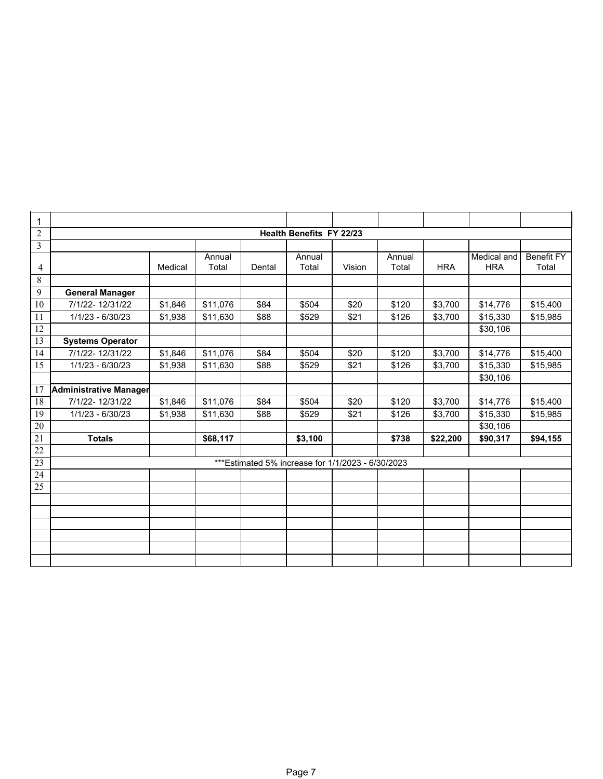| 1              |                         |         |                 |        |                                                    |        |                 |            |                           |                     |
|----------------|-------------------------|---------|-----------------|--------|----------------------------------------------------|--------|-----------------|------------|---------------------------|---------------------|
| $\overline{2}$ |                         |         |                 |        |                                                    |        |                 |            |                           |                     |
|                |                         |         |                 |        | <b>Health Benefits FY 22/23</b>                    |        |                 |            |                           |                     |
| 3              |                         |         |                 |        |                                                    |        |                 |            |                           |                     |
| 4              |                         | Medical | Annual<br>Total | Dental | Annual<br>Total                                    | Vision | Annual<br>Total | <b>HRA</b> | Medical and<br><b>HRA</b> | Benefit FY<br>Total |
| 8              |                         |         |                 |        |                                                    |        |                 |            |                           |                     |
| 9              | <b>General Manager</b>  |         |                 |        |                                                    |        |                 |            |                           |                     |
| 10             | 7/1/22-12/31/22         | \$1,846 | \$11,076        | \$84   | \$504                                              | \$20   | \$120           | \$3,700    | \$14,776                  | \$15,400            |
| 11             | 1/1/23 - 6/30/23        | \$1,938 | \$11,630        | \$88   | \$529                                              | \$21   | \$126           | \$3,700    | \$15,330                  | \$15,985            |
| 12             |                         |         |                 |        |                                                    |        |                 |            | \$30,106                  |                     |
| 13             | <b>Systems Operator</b> |         |                 |        |                                                    |        |                 |            |                           |                     |
| 14             | 7/1/22-12/31/22         | \$1,846 | \$11,076        | \$84   | \$504                                              | \$20   | \$120           | \$3,700    | \$14,776                  | \$15,400            |
| 15             | 1/1/23 - 6/30/23        | \$1,938 | \$11,630        | \$88   | \$529                                              | \$21   | \$126           | \$3,700    | \$15,330                  | \$15,985            |
|                |                         |         |                 |        |                                                    |        |                 |            | \$30,106                  |                     |
| 17             | Administrative Manager  |         |                 |        |                                                    |        |                 |            |                           |                     |
| 18             | 7/1/22-12/31/22         | \$1,846 | \$11,076        | \$84   | \$504                                              | \$20   | \$120           | \$3,700    | \$14,776                  | \$15,400            |
| 19             | 1/1/23 - 6/30/23        | \$1,938 | \$11,630        | \$88   | \$529                                              | \$21   | \$126           | \$3,700    | \$15,330                  | \$15,985            |
| $20\,$         |                         |         |                 |        |                                                    |        |                 |            | \$30,106                  |                     |
| 21             | <b>Totals</b>           |         | \$68,117        |        | \$3,100                                            |        | \$738           | \$22,200   | \$90,317                  | \$94,155            |
| 22             |                         |         |                 |        |                                                    |        |                 |            |                           |                     |
| 23             |                         |         |                 |        | *** Estimated 5% increase for 1/1/2023 - 6/30/2023 |        |                 |            |                           |                     |
| 24             |                         |         |                 |        |                                                    |        |                 |            |                           |                     |
| 25             |                         |         |                 |        |                                                    |        |                 |            |                           |                     |
|                |                         |         |                 |        |                                                    |        |                 |            |                           |                     |
|                |                         |         |                 |        |                                                    |        |                 |            |                           |                     |
|                |                         |         |                 |        |                                                    |        |                 |            |                           |                     |
|                |                         |         |                 |        |                                                    |        |                 |            |                           |                     |
|                |                         |         |                 |        |                                                    |        |                 |            |                           |                     |
|                |                         |         |                 |        |                                                    |        |                 |            |                           |                     |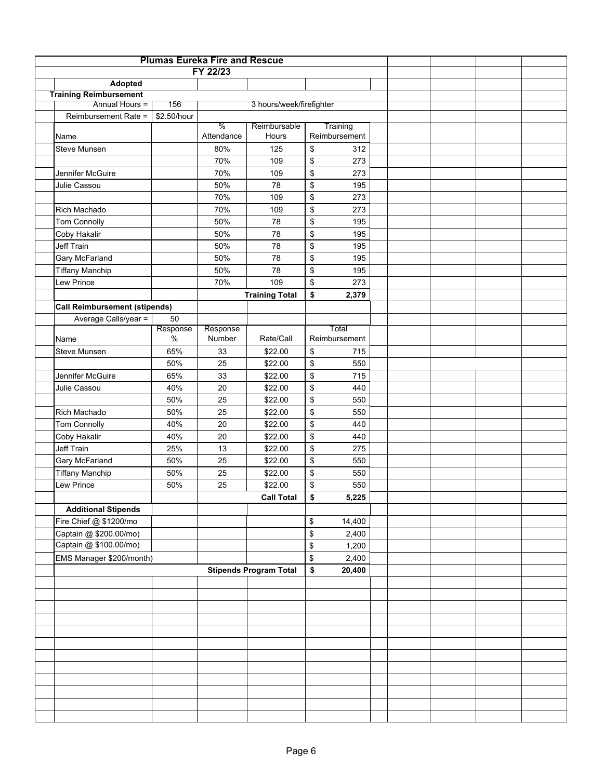|                                      |                  | <b>Plumas Eureka Fire and Rescue</b> |                               |                           |  |  |  |
|--------------------------------------|------------------|--------------------------------------|-------------------------------|---------------------------|--|--|--|
|                                      |                  | FY 22/23                             |                               |                           |  |  |  |
| Adopted                              |                  |                                      |                               |                           |  |  |  |
| <b>Training Reimbursement</b>        |                  |                                      |                               |                           |  |  |  |
| Annual Hours =                       | 156              |                                      | 3 hours/week/firefighter      |                           |  |  |  |
| Reimbursement Rate =                 | \$2.50/hour      |                                      |                               |                           |  |  |  |
|                                      |                  | %<br>Attendance                      | Reimbursable<br>Hours         | Training<br>Reimbursement |  |  |  |
| Name                                 |                  |                                      |                               |                           |  |  |  |
| Steve Munsen                         |                  | 80%                                  | 125                           | \$<br>312                 |  |  |  |
| Jennifer McGuire                     |                  | 70%                                  | 109                           | \$<br>273                 |  |  |  |
| Julie Cassou                         |                  | 70%                                  | 109                           | \$<br>273                 |  |  |  |
|                                      |                  | 50%                                  | 78                            | \$<br>195                 |  |  |  |
|                                      |                  | 70%                                  | 109                           | \$<br>273                 |  |  |  |
| Rich Machado                         |                  | 70%                                  | 109                           | \$<br>273                 |  |  |  |
| <b>Tom Connolly</b>                  |                  | 50%                                  | 78                            | \$<br>195                 |  |  |  |
| Coby Hakalir                         |                  | 50%                                  | 78                            | \$<br>195                 |  |  |  |
| <b>Jeff Train</b>                    |                  | 50%                                  | 78                            | \$<br>195                 |  |  |  |
| Gary McFarland                       |                  | 50%                                  | 78                            | \$<br>195                 |  |  |  |
| <b>Tiffany Manchip</b>               |                  | 50%                                  | 78                            | \$<br>195                 |  |  |  |
| Lew Prince                           |                  | 70%                                  | 109                           | \$<br>273                 |  |  |  |
|                                      |                  |                                      | <b>Training Total</b>         | \$<br>2,379               |  |  |  |
| <b>Call Reimbursement (stipends)</b> |                  |                                      |                               |                           |  |  |  |
| Average Calls/year =                 | 50               |                                      |                               |                           |  |  |  |
|                                      | Response<br>$\%$ | Response<br>Number                   | Rate/Call                     | Total<br>Reimbursement    |  |  |  |
| Name                                 |                  |                                      |                               |                           |  |  |  |
| Steve Munsen                         | 65%              | 33                                   | \$22.00                       | \$<br>715                 |  |  |  |
|                                      | 50%              | 25                                   | \$22.00                       | \$<br>550                 |  |  |  |
| Jennifer McGuire                     | 65%              | 33                                   | \$22.00                       | \$<br>715                 |  |  |  |
| Julie Cassou                         | 40%              | 20                                   | \$22.00                       | \$<br>440                 |  |  |  |
|                                      | 50%              | 25                                   | \$22.00                       | \$<br>550                 |  |  |  |
| Rich Machado                         | 50%              | 25                                   | \$22.00                       | \$<br>550                 |  |  |  |
| <b>Tom Connolly</b>                  | 40%              | 20                                   | \$22.00                       | \$<br>440                 |  |  |  |
| Coby Hakalir                         | 40%              | 20                                   | \$22.00                       | \$<br>440                 |  |  |  |
| Jeff Train                           | 25%              | 13                                   | \$22.00                       | \$<br>275                 |  |  |  |
| Gary McFarland                       | 50%              | 25                                   | \$22.00                       | \$<br>550                 |  |  |  |
| <b>Tiffany Manchip</b>               | 50%              | 25                                   | \$22.00                       | \$<br>550                 |  |  |  |
| Lew Prince                           | 50%              | 25                                   | \$22.00                       | \$<br>550                 |  |  |  |
|                                      |                  |                                      | <b>Call Total</b>             | \$<br>5,225               |  |  |  |
| <b>Additional Stipends</b>           |                  |                                      |                               |                           |  |  |  |
| Fire Chief @ \$1200/mo               |                  |                                      |                               | \$<br>14,400              |  |  |  |
| Captain @ \$200.00/mo)               |                  |                                      |                               | \$<br>2,400               |  |  |  |
| Captain @ \$100.00/mo)               |                  |                                      |                               | \$<br>1,200               |  |  |  |
| EMS Manager \$200/month)             |                  |                                      |                               | \$<br>2,400               |  |  |  |
|                                      |                  |                                      | <b>Stipends Program Total</b> | \$<br>20,400              |  |  |  |
|                                      |                  |                                      |                               |                           |  |  |  |
|                                      |                  |                                      |                               |                           |  |  |  |
|                                      |                  |                                      |                               |                           |  |  |  |
|                                      |                  |                                      |                               |                           |  |  |  |
|                                      |                  |                                      |                               |                           |  |  |  |
|                                      |                  |                                      |                               |                           |  |  |  |
|                                      |                  |                                      |                               |                           |  |  |  |
|                                      |                  |                                      |                               |                           |  |  |  |
|                                      |                  |                                      |                               |                           |  |  |  |
|                                      |                  |                                      |                               |                           |  |  |  |
|                                      |                  |                                      |                               |                           |  |  |  |
|                                      |                  |                                      |                               |                           |  |  |  |
|                                      |                  |                                      |                               |                           |  |  |  |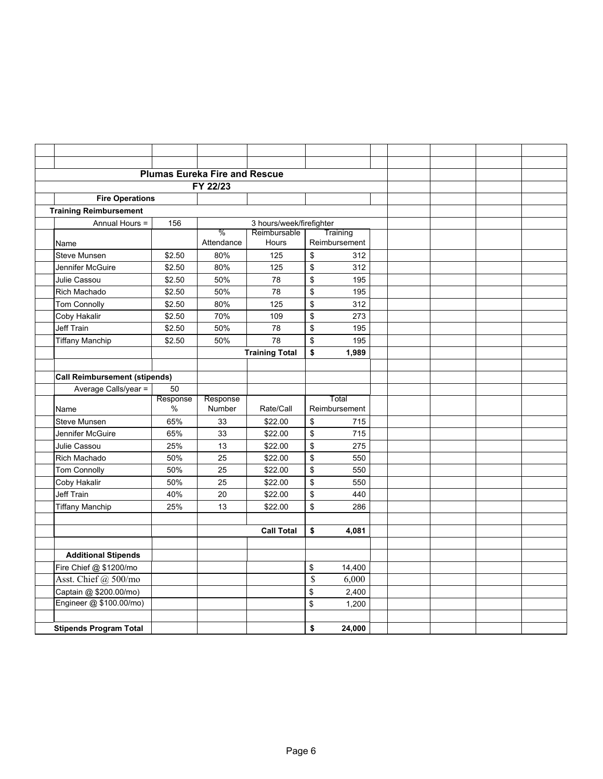|                                      |                  | <b>Plumas Eureka Fire and Rescue</b> |                          |               |                        |  |  |
|--------------------------------------|------------------|--------------------------------------|--------------------------|---------------|------------------------|--|--|
|                                      |                  | FY 22/23                             |                          |               |                        |  |  |
| <b>Fire Operations</b>               |                  |                                      |                          |               |                        |  |  |
| <b>Training Reimbursement</b>        |                  |                                      |                          |               |                        |  |  |
| Annual Hours =                       | 156              |                                      | 3 hours/week/firefighter |               |                        |  |  |
|                                      |                  | $\%$                                 | Reimbursable             |               | Training               |  |  |
| Name                                 |                  | Attendance                           | <b>Hours</b>             |               | Reimbursement          |  |  |
| Steve Munsen                         | \$2.50           | 80%                                  | 125                      | \$            | 312                    |  |  |
| Jennifer McGuire                     | \$2.50           | 80%                                  | 125                      | \$            | 312                    |  |  |
| Julie Cassou                         | \$2.50           | 50%                                  | 78                       | \$            | 195                    |  |  |
| <b>Rich Machado</b>                  | \$2.50           | 50%                                  | 78                       | \$            | 195                    |  |  |
| <b>Tom Connolly</b>                  | \$2.50           | 80%                                  | 125                      | \$            | 312                    |  |  |
| Coby Hakalir                         | \$2.50           | 70%                                  | 109                      | \$            | 273                    |  |  |
| <b>Jeff Train</b>                    | \$2.50           | 50%                                  | 78                       | \$            | 195                    |  |  |
| <b>Tiffany Manchip</b>               | \$2.50           | 50%                                  | 78                       | \$            | 195                    |  |  |
|                                      |                  |                                      | <b>Training Total</b>    | \$            | 1,989                  |  |  |
|                                      |                  |                                      |                          |               |                        |  |  |
| <b>Call Reimbursement (stipends)</b> |                  |                                      |                          |               |                        |  |  |
| Average Calls/year =                 | 50               |                                      |                          |               |                        |  |  |
| Name                                 | Response<br>$\%$ | Response<br>Number                   | Rate/Call                |               | Total<br>Reimbursement |  |  |
| Steve Munsen                         | 65%              | 33                                   | \$22.00                  | \$            | 715                    |  |  |
| Jennifer McGuire                     | 65%              | 33                                   | \$22.00                  | \$            | 715                    |  |  |
| Julie Cassou                         | 25%              | 13                                   | \$22.00                  | \$            | 275                    |  |  |
| <b>Rich Machado</b>                  | 50%              | 25                                   | \$22.00                  | \$            | 550                    |  |  |
| <b>Tom Connolly</b>                  | 50%              | 25                                   | \$22.00                  | \$            | 550                    |  |  |
| Coby Hakalir                         | 50%              | 25                                   | \$22.00                  | \$            | 550                    |  |  |
| Jeff Train                           | 40%              | 20                                   | \$22.00                  | \$            | 440                    |  |  |
| <b>Tiffany Manchip</b>               | 25%              | 13                                   | \$22.00                  | \$            | 286                    |  |  |
|                                      |                  |                                      |                          |               |                        |  |  |
|                                      |                  |                                      | <b>Call Total</b>        | \$            | 4,081                  |  |  |
|                                      |                  |                                      |                          |               |                        |  |  |
| <b>Additional Stipends</b>           |                  |                                      |                          |               |                        |  |  |
| Fire Chief @ \$1200/mo               |                  |                                      |                          | \$            | 14,400                 |  |  |
| Asst. Chief @ 500/mo                 |                  |                                      |                          | $\mathcal{S}$ | 6,000                  |  |  |
| Captain @ \$200.00/mo)               |                  |                                      |                          | \$            | 2,400                  |  |  |
| Engineer @ \$100.00/mo)              |                  |                                      |                          | \$            | 1,200                  |  |  |
|                                      |                  |                                      |                          |               |                        |  |  |
| <b>Stipends Program Total</b>        |                  |                                      |                          | \$            | 24,000                 |  |  |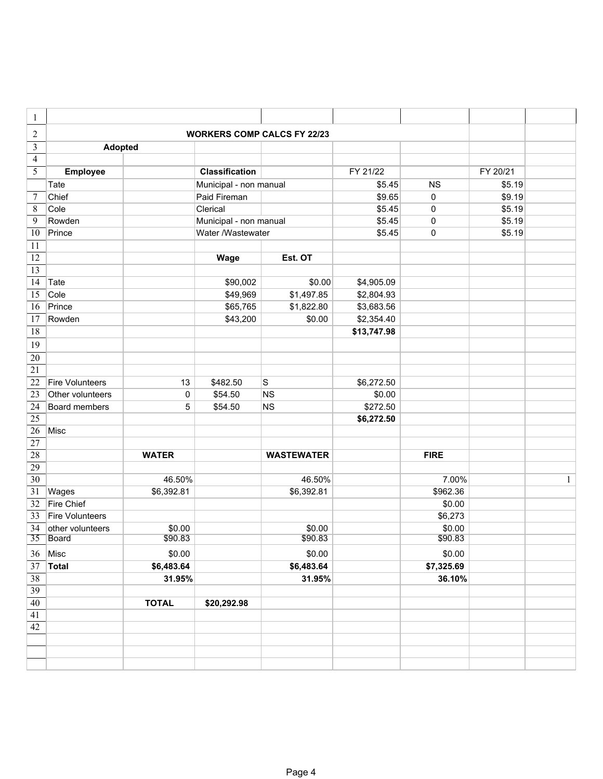| 1                |                        |              |                        |                                    |             |             |          |              |
|------------------|------------------------|--------------|------------------------|------------------------------------|-------------|-------------|----------|--------------|
| $\overline{c}$   |                        |              |                        | <b>WORKERS COMP CALCS FY 22/23</b> |             |             |          |              |
| $\overline{3}$   | <b>Adopted</b>         |              |                        |                                    |             |             |          |              |
| $\overline{4}$   |                        |              |                        |                                    |             |             |          |              |
| 5                | Employee               |              | <b>Classification</b>  |                                    | FY 21/22    |             | FY 20/21 |              |
|                  | Tate                   |              | Municipal - non manual |                                    | \$5.45      | <b>NS</b>   | \$5.19   |              |
| $\boldsymbol{7}$ | Chief                  |              | Paid Fireman           |                                    | \$9.65      | $\mathbf 0$ | \$9.19   |              |
| $\,8\,$          | Cole                   |              | Clerical               |                                    | \$5.45      | $\mathbf 0$ | \$5.19   |              |
| 9                | Rowden                 |              | Municipal - non manual |                                    | \$5.45      | 0           | \$5.19   |              |
| 10               | Prince                 |              | Water /Wastewater      |                                    | \$5.45      | 0           | \$5.19   |              |
| 11               |                        |              |                        |                                    |             |             |          |              |
| 12               |                        |              | Wage                   | Est. OT                            |             |             |          |              |
| 13               |                        |              |                        |                                    |             |             |          |              |
| 14               | Tate                   |              | \$90,002               | \$0.00                             | \$4,905.09  |             |          |              |
| 15               | Cole                   |              | \$49,969               | \$1,497.85                         | \$2,804.93  |             |          |              |
| 16               | Prince                 |              | \$65,765               | \$1,822.80                         | \$3,683.56  |             |          |              |
| 17               | Rowden                 |              | \$43,200               | \$0.00                             | \$2,354.40  |             |          |              |
| 18               |                        |              |                        |                                    | \$13,747.98 |             |          |              |
| 19               |                        |              |                        |                                    |             |             |          |              |
| 20               |                        |              |                        |                                    |             |             |          |              |
| 21               |                        |              |                        |                                    |             |             |          |              |
| 22               | <b>Fire Volunteers</b> | 13           | \$482.50               | $\vert$ S                          | \$6,272.50  |             |          |              |
| 23               | Other volunteers       | 0            | \$54.50                | <b>NS</b>                          | \$0.00      |             |          |              |
| 24               | Board members          | 5            | \$54.50                | <b>NS</b>                          | \$272.50    |             |          |              |
| 25               |                        |              |                        |                                    | \$6,272.50  |             |          |              |
| 26               | Misc                   |              |                        |                                    |             |             |          |              |
| 27               |                        |              |                        |                                    |             |             |          |              |
| 28               |                        | <b>WATER</b> |                        | <b>WASTEWATER</b>                  |             | <b>FIRE</b> |          |              |
| 29               |                        |              |                        |                                    |             |             |          |              |
| 30               |                        | 46.50%       |                        | 46.50%                             |             | 7.00%       |          | $\mathbf{1}$ |
| 31               | Wages                  | \$6,392.81   |                        | \$6,392.81                         |             | \$962.36    |          |              |
| 32               | <b>Fire Chief</b>      |              |                        |                                    |             | \$0.00      |          |              |
| 33               | <b>Fire Volunteers</b> |              |                        |                                    |             | \$6,273     |          |              |
| 34               | other volunteers       | \$0.00       |                        | \$0.00                             |             | \$0.00      |          |              |
| 35               | Board                  | \$90.83      |                        | \$90.83                            |             | \$90.83     |          |              |
| 36               | Misc                   | \$0.00       |                        | \$0.00                             |             | \$0.00      |          |              |
| 37               | <b>Total</b>           | \$6,483.64   |                        | \$6,483.64                         |             | \$7,325.69  |          |              |
| 38               |                        | 31.95%       |                        | 31.95%                             |             | 36.10%      |          |              |
| 39               |                        |              |                        |                                    |             |             |          |              |
| $40\,$           |                        | <b>TOTAL</b> | \$20,292.98            |                                    |             |             |          |              |
| 41               |                        |              |                        |                                    |             |             |          |              |
| 42               |                        |              |                        |                                    |             |             |          |              |
|                  |                        |              |                        |                                    |             |             |          |              |
|                  |                        |              |                        |                                    |             |             |          |              |
|                  |                        |              |                        |                                    |             |             |          |              |
|                  |                        |              |                        |                                    |             |             |          |              |